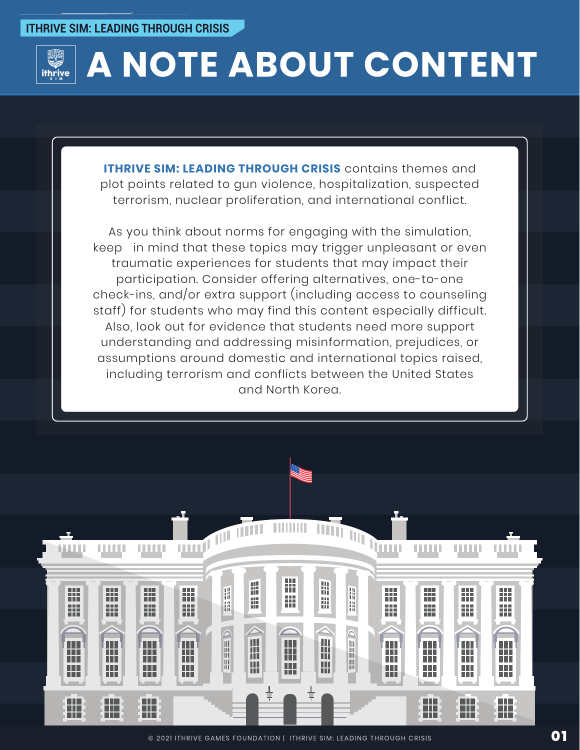

# A NOTE ABOUT CONTENT

**ITHRIVE SIM: LEADING THROUGH CRISIS** contains themes and plot points related to gun violence, hospitalization, suspected terrorism, nuclear proliferation, and international conflict.

As you think about norms for engaging with the simulation, keep in mind that these topics may trigger unpleasant or even traumatic experiences for students that may impact their participation. Consider offering alternatives, one-to-one check-ins, and/or extra support (including access to counseling staff) for students who may find this content especially difficult. Also, look out for evidence that students need more support understanding and addressing misinformation, prejudices, or assumptions around domestic and international topics raised, including terrorism and conflicts between the United States and North Korea.

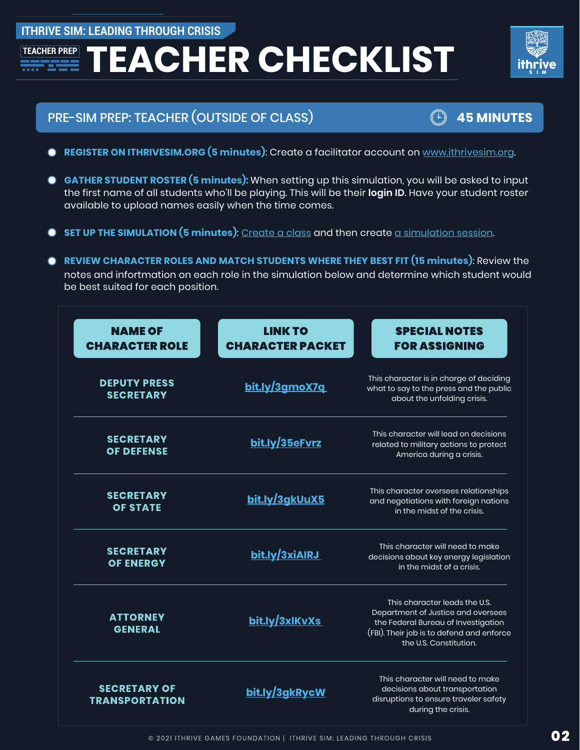# **ITHRIVE SIM: LEADING THROUGH CRISIS**

# **TEACHER CHECKLIST**



# PRE-SIM PREP: TEACHER (OUTSIDE OF CLASS) **45 MINUTES**

- 
- **REGISTER ON ITHRIVESIM.ORG (5 minutes):** Create a facilitator account on [www.ithrivesim.org.](www.ithrivesim.org)
- **GATHER STUDENT ROSTER (5 minutes):** When setting up this simulation, you will be asked to input  $\bullet$ the first name of all students who'll be playing. This will be their **login ID**. Have your student roster available to upload names easily when the time comes.
- **SET UP THE SIMULATION (5 minutes)**: [Create a class](https://ithrivegames.notion.site/Create-a-Class-9b7fdede6e744da58ba7c1d27eb9d3da) and then creat[e a simulation session.](https://ithrivegames.notion.site/Create-a-Simulation-Session-d7e00b9e0e5e452e9e2ee7756182eca1)
- **REVIEW CHARACTER ROLES AND MATCH STUDENTS WHERE THEY BEST FIT (15 minutes)**: Review the notes and infortmation on each role in the simulation below and determine which student would be best suited for each position.

| <b>NAME OF</b><br><b>CHARACTER ROLE</b>      | <b>LINK TO</b><br><b>CHARACTER PACKET</b> | <b>SPECIAL NOTES</b><br><b>FOR ASSIGNING</b>                                                                                                                                      |
|----------------------------------------------|-------------------------------------------|-----------------------------------------------------------------------------------------------------------------------------------------------------------------------------------|
| <b>DEPUTY PRESS</b><br><b>SECRETARY</b>      | <u>bit.ly/3gmoX7q</u>                     | This character is in charge of deciding<br>what to say to the press and the public<br>about the unfolding crisis.                                                                 |
| <b>SECRETARY</b><br><b>OF DEFENSE</b>        | bit.ly/35eFvrz                            | This character will lead on decisions<br>related to military actions to protect<br>America during a crisis.                                                                       |
| <b>SECRETARY</b><br><b>OF STATE</b>          | bit.ly/3gkUuX5                            | This character oversees relationships<br>and negotiations with foreign nations<br>in the midst of the crisis.                                                                     |
| <b>SECRETARY</b><br><b>OF ENERGY</b>         | bit.ly/3xiAIRJ                            | This character will need to make<br>decisions about key energy legislation<br>in the midst of a crisis.                                                                           |
| <b>ATTORNEY</b><br><b>GENERAL</b>            | bit.ly/3xlKvXs                            | This character leads the U.S.<br>Department of Justice and oversees<br>the Federal Bureau of Investigation<br>(FBI). Their job is to defend and enforce<br>the U.S. Constitution. |
| <b>SECRETARY OF</b><br><b>TRANSPORTATION</b> | bit.ly/3gkRycW                            | This character will need to make<br>decisions about transportation<br>disruptions to ensure traveler safety<br>during the crisis.                                                 |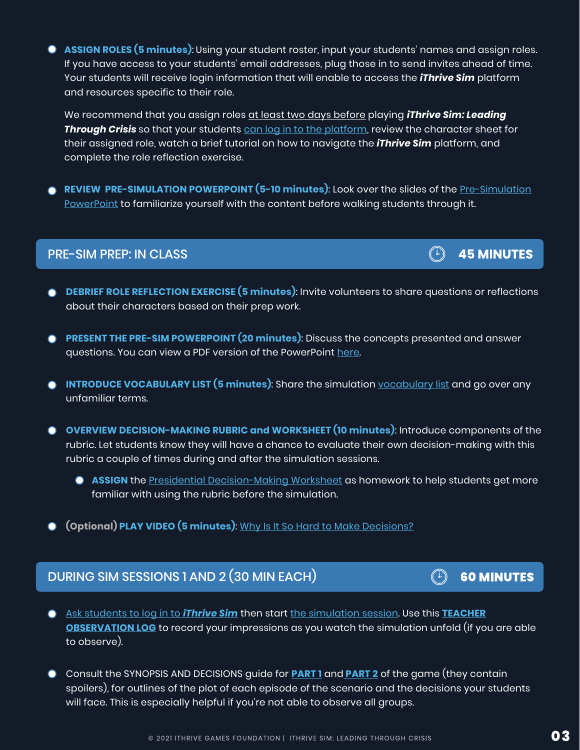**ASSIGN ROLES (5 minutes)**: Using your student roster, input your students' names and assign roles. If you have access to your students' email addresses, plug those in to send invites ahead of time. Your students will receive login information that will enable to access the *iThrive Sim* platform and resources specific to their role.

We recommend that you assign roles at least two days before playing *iThrive Sim: Leading Through Crisis* so that your students can log in to [the platform,](https://ithrivegames.notion.site/Get-Students-Logged-in-d04caec1a0e5402b82c9afa406f6c6f1) review the character sheet for their assigned role, watch a brief tutorial on how to navigate the *iThrive Sim* platform, and complete the role reflection exercise.

**REVIEW PRE-SIMULATION POWERPOINT (5-10 minutes):** Look over the slides of the <u>[Pre-Simulation](https://docs.google.com/presentation/d/1qggQKsjxY7zNNqdL2ErECxZuw5ql7sDKUV7KtCr9mcU/edit?usp=sharing)</u> [PowerPoint t](https://docs.google.com/presentation/d/1qggQKsjxY7zNNqdL2ErECxZuw5ql7sDKUV7KtCr9mcU/edit?usp=sharing)o familiarize yourself with the content before walking students through it.

#### PRE-SIM PREP: IN CLASS

- **DEBRIEF ROLE REFLECTION EXERCISE (5 minutes)**: Invite volunteers to share questions or reflections about their characters based on their prep work.
- **PRESENT THE PRE-SIM POWERPOINT (20 minutes)**: Discuss the concepts presented and answer  $\bullet$ questions. You can view a PDF version of the PowerPoint [here.](https://ithrivegames.org/wp-content/uploads/2021/10/iThrive-Sim_-Leading-Through-Crisis-Pre-Sim-PowerPoint.pdf)
- **INTRODUCE VOCABULARY LIST (5 minutes)**: Share the simulation [vocabulary list a](https://ithrivegames.org/wp-content/uploads/2021/06/Vocabulary-List.pdf)nd go over any unfamiliar terms.
- **OVERVIEW DECISION-MAKING RUBRIC and WORKSHEET (10 minutes)**: Introduce components of the rubric. Let students know they will have a chance to evaluate their own decision-making with this rubric a couple of times during and after the simulation sessions.
	- **ASSIGN** the [Presidential Decision-Making Worksheet a](https://docs.google.com/document/d/1Z_SapVQy56yd9hrsjhLz1JYiiD089st6ukZn0MUqHPc/edit?usp=sharing)s homework to help students get more familiar with using the rubric before the simulation.
- **(Optional) PLAY VIDEO (5 minutes)**: [Why Is It So Hard to](https://edu.gcfglobal.org/en/problem-solving-and-decision-making/why-is-it-so-hard-to-make-decisions/1/) Make Decisions?

# DURING SIM SESSIONS 1 AND 2 (30 MIN EACH)

- [Ask students to](https://ithrivegames.notion.site/Get-Students-Logged-in-d04caec1a0e5402b82c9afa406f6c6f1) log in to *iThrive Sim* then start [the simulation session.](https://ithrivegames.notion.site/Start-a-Simulation-Session-b58fbf5929a94e698835e24bc50e4be8) Use this **[TEACHER](https://ithrivegames.org/wp-content/uploads/2021/06/Teacher-Observation-Log.pdf)**  $\bullet$ **[OBSERVATION](https://ithrivegames.org/wp-content/uploads/2021/06/Teacher-Observation-Log.pdf) LOG** to record your impressions as you watch the simulation unfold (if you are able to observe).
- Consult the SYNOPSIS AND DECISIONS guide for **[PART](https://ithrivegames.org/wp-content/uploads/2021/06/LTC-Synopsis-Part-One.pdf) 1** and **[PART](https://ithrivegames.org/wp-content/uploads/2021/06/LTC-Synopsis-Part-Two.pdf) 2** of the game (they contain  $\bullet$ spoilers), for outlines of the plot of each episode of the scenario and the decisions your students will face. This is especially helpful if you're not able to observe all groups.

## **03**

# $\begin{pmatrix} 1 \end{pmatrix}$  45 MINUTES

#### **60 MINUTES**  $(\begin{matrix} \cdot & \cdot \\ \cdot & \cdot \end{matrix})$